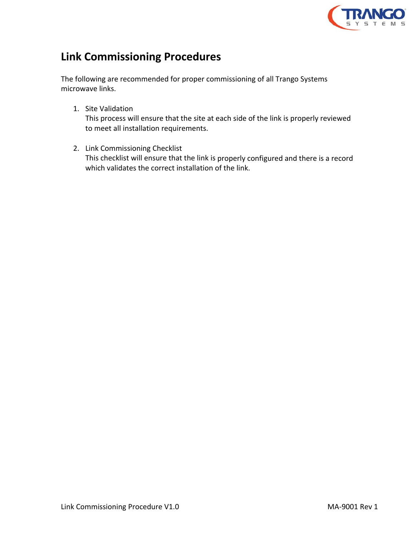

# **Link Commissioning Procedures**

The following are recommended for proper commissioning of all Trango Systems microwave links.

1. Site Validation

This process will ensure that the site at each side of the link is properly reviewed to meet all installation requirements.

2. Link Commissioning Checklist This checklist will ensure that the link is properly configured and there is a record which validates the correct installation of the link.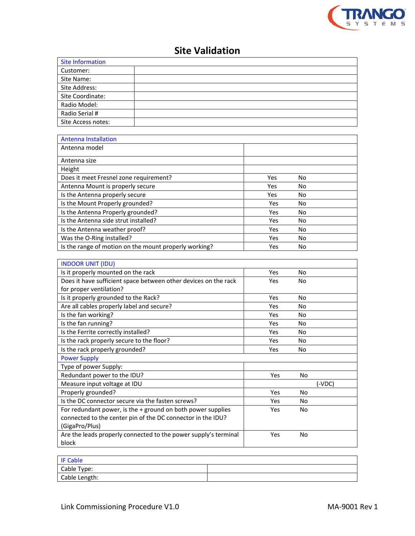

## **Site Validation**

| <b>Site Information</b> |  |
|-------------------------|--|
| Customer:               |  |
| Site Name:              |  |
| Site Address:           |  |
| Site Coordinate:        |  |
| Radio Model:            |  |
| Radio Serial #          |  |
| Site Access notes:      |  |

| <b>Antenna Installation</b>                           |            |    |
|-------------------------------------------------------|------------|----|
| Antenna model                                         |            |    |
| Antenna size                                          |            |    |
| Height                                                |            |    |
| Does it meet Fresnel zone requirement?                | Yes        | No |
| Antenna Mount is properly secure                      | Yes        | No |
| Is the Antenna properly secure                        | <b>Yes</b> | No |
| Is the Mount Properly grounded?                       | Yes        | No |
| Is the Antenna Properly grounded?                     | Yes        | No |
| Is the Antenna side strut installed?                  | Yes        | No |
| Is the Antenna weather proof?                         | Yes        | No |
| Was the O-Ring installed?                             | Yes        | No |
| Is the range of motion on the mount properly working? | Yes        | No |

| <b>INDOOR UNIT (IDU)</b>                                        |     |           |        |
|-----------------------------------------------------------------|-----|-----------|--------|
| Is it properly mounted on the rack                              | Yes | No        |        |
| Does it have sufficient space between other devices on the rack | Yes | No        |        |
| for proper ventilation?                                         |     |           |        |
| Is it properly grounded to the Rack?                            | Yes | No        |        |
| Are all cables properly label and secure?                       | Yes | No        |        |
| Is the fan working?                                             | Yes | No        |        |
| Is the fan running?                                             | Yes | <b>No</b> |        |
| Is the Ferrite correctly installed?                             | Yes | <b>No</b> |        |
| Is the rack properly secure to the floor?                       | Yes | No        |        |
| Is the rack properly grounded?                                  | Yes | No        |        |
| <b>Power Supply</b>                                             |     |           |        |
| Type of power Supply:                                           |     |           |        |
| Redundant power to the IDU?                                     | Yes | No        |        |
| Measure input voltage at IDU                                    |     |           | (-VDC) |
| Properly grounded?                                              | Yes | No        |        |
| Is the DC connector secure via the fasten screws?               | Yes | No        |        |
| For redundant power, is the $+$ ground on both power supplies   | Yes | No        |        |
| connected to the center pin of the DC connector in the IDU?     |     |           |        |
| (GigaPro/Plus)                                                  |     |           |        |
| Are the leads properly connected to the power supply's terminal | Yes | No        |        |
| block                                                           |     |           |        |

| <b>IF Cable</b> |  |
|-----------------|--|
| Cable Type:     |  |
| Cable Length:   |  |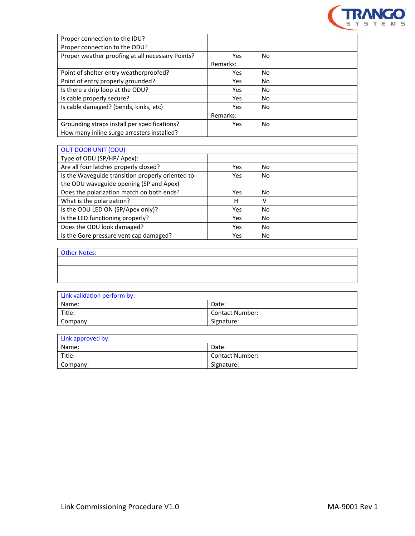

| Yes      | No. |  |
|----------|-----|--|
| Remarks: |     |  |
| Yes      | No. |  |
| Yes      | No. |  |
| Yes      | No. |  |
| Yes      | No. |  |
| Yes      | No. |  |
| Remarks: |     |  |
| Yes      | No. |  |
|          |     |  |
|          |     |  |

| <b>OUT DOOR UNIT (ODU)</b>                       |     |     |  |
|--------------------------------------------------|-----|-----|--|
| Type of ODU (SP/HP/ Apex):                       |     |     |  |
| Are all four latches properly closed?            | Yes | No. |  |
| Is the Waveguide transition properly oriented to | Yes | No. |  |
| the ODU waveguide opening (SP and Apex)          |     |     |  |
| Does the polarization match on both ends?        | Yes | No  |  |
| What is the polarization?                        | Н   | v   |  |
| Is the ODU LED ON (SP/Apex only)?                | Yes | No  |  |
| Is the LED functioning properly?                 | Yes | No  |  |
| Does the ODU look damaged?                       | Yes | No. |  |
| Is the Gore pressure vent cap damaged?           | Yes | No. |  |

| <b>Other Notes:</b> |  |
|---------------------|--|
|                     |  |
|                     |  |
|                     |  |

| Link validation perform by: |                        |
|-----------------------------|------------------------|
| Name:                       | Date:                  |
| Title:                      | <b>Contact Number:</b> |
| Company:                    | Signature:             |

| Link approved by: |                        |
|-------------------|------------------------|
| Name:             | Date:                  |
| Title:            | <b>Contact Number:</b> |
| Company:          | Signature:             |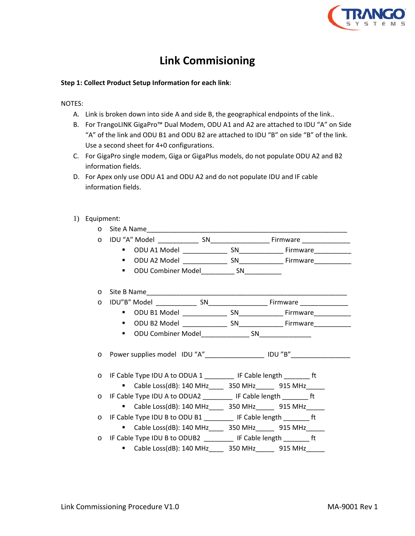

## **Link Commisioning**

#### **Step 1: Collect Product Setup Information for each link**:

NOTES:

- A. Link is broken down into side A and side B, the geographical endpoints of the link..
- B. For TrangoLINK GigaPro™ Dual Modem, ODU A1 and A2 are attached to IDU "A" on Side "A" of the link and ODU B1 and ODU B2 are attached to IDU "B" on side "B" of the link. Use a second sheet for 4+0 configurations.
- C. For GigaPro single modem, Giga or GigaPlus models, do not populate ODU A2 and B2 information fields.
- D. For Apex only use ODU A1 and ODU A2 and do not populate IDU and IF cable information fields.
- 1) Equipment:

| $\circ$ |                                                                            |  |                                                                          |
|---------|----------------------------------------------------------------------------|--|--------------------------------------------------------------------------|
| $\circ$ |                                                                            |  |                                                                          |
|         | <b>Contract</b>                                                            |  | ODU A1 Model ________________ SN_________________ Firmware_____________  |
|         | ٠                                                                          |  | ODU A2 Model _________________ SN_________________ Firmware_____________ |
|         | ODU Combiner Model______________SN_____________<br>٠.                      |  |                                                                          |
| $\circ$ |                                                                            |  |                                                                          |
| $\circ$ |                                                                            |  |                                                                          |
|         |                                                                            |  |                                                                          |
|         |                                                                            |  |                                                                          |
|         | $\blacksquare$                                                             |  |                                                                          |
| $\circ$ | Power supplies model IDU "A"____________________ IDU "B"__________________ |  |                                                                          |
| $\circ$ | IF Cable Type IDU A to ODUA 1 ___________ IF Cable length _________ ft     |  |                                                                          |
|         | ■ Cable Loss(dB): 140 MHz 350 MHz 915 MHz                                  |  |                                                                          |
|         | o IF Cable Type IDU A to ODUA2 __________ IF Cable length ________ ft      |  |                                                                          |
|         | ■ Cable Loss(dB): 140 MHz 350 MHz 915 MHz                                  |  |                                                                          |
|         | o IF Cable Type IDU B to ODU B1 __________ IF Cable length ________ ft     |  |                                                                          |
|         | ■ Cable Loss(dB): 140 MHz 350 MHz 915 MHz                                  |  |                                                                          |
|         | o IF Cable Type IDU B to ODUB2 IF Cable length ft                          |  |                                                                          |
|         | " Cable Loss(dB): 140 MHz_____ 350 MHz______ 915 MHz_____                  |  |                                                                          |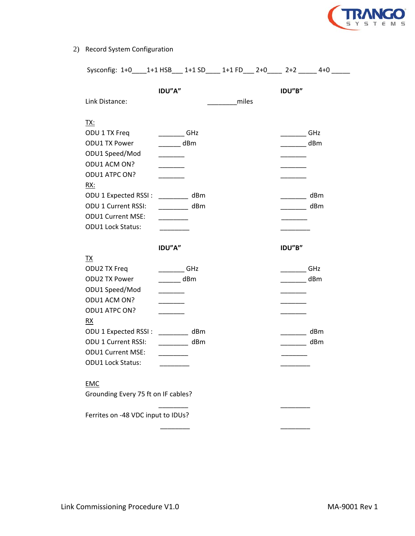

### 2) Record System Configuration

| Sysconfig: 1+0____1+1 HSB___ 1+1 SD____ 1+1 FD___ 2+0____ 2+2 _____ 4+0 _____                                            |                                                                        |       |                                                                                                                                                                                                                                                                                                                                                                                                                                                                            |            |
|--------------------------------------------------------------------------------------------------------------------------|------------------------------------------------------------------------|-------|----------------------------------------------------------------------------------------------------------------------------------------------------------------------------------------------------------------------------------------------------------------------------------------------------------------------------------------------------------------------------------------------------------------------------------------------------------------------------|------------|
| Link Distance:                                                                                                           | IDU"A"                                                                 | miles | IDU"B"                                                                                                                                                                                                                                                                                                                                                                                                                                                                     |            |
| <u>TX:</u><br>ODU 1 TX Freq<br><b>ODU1 TX Power</b><br>ODU1 Speed/Mod<br>ODU1 ACM ON?<br>ODU1 ATPC ON?<br><u>RX:</u>     | GHz<br>$\overline{\phantom{a}}$ dBm<br>$\mathcal{L} = \{1,2,3,4,5\}$ . |       | $\frac{1}{\sqrt{1-\frac{1}{2}}\sqrt{1-\frac{1}{2}}\sqrt{1-\frac{1}{2}}\sqrt{1-\frac{1}{2}}\sqrt{1-\frac{1}{2}}\sqrt{1-\frac{1}{2}}\sqrt{1-\frac{1}{2}}\sqrt{1-\frac{1}{2}}\sqrt{1-\frac{1}{2}}\sqrt{1-\frac{1}{2}}\sqrt{1-\frac{1}{2}}\sqrt{1-\frac{1}{2}}\sqrt{1-\frac{1}{2}}\sqrt{1-\frac{1}{2}}\sqrt{1-\frac{1}{2}}\sqrt{1-\frac{1}{2}}\sqrt{1-\frac{1}{2}}\sqrt{1-\frac{1}{2}}\sqrt{1-\frac{1}{2}}\sqrt{1-\frac$<br><u> 2002 - 20</u>                                  | dBm        |
| ODU 1 Expected RSSI:<br><b>ODU 1 Current RSSI:</b><br><b>ODU1 Current MSE:</b><br><b>ODU1 Lock Status:</b>               | $\frac{1}{2}$ dBm<br>dBm                                               |       | $\frac{1}{2} \left( \frac{1}{2} \right) \left( \frac{1}{2} \right) \left( \frac{1}{2} \right) \left( \frac{1}{2} \right) \left( \frac{1}{2} \right) \left( \frac{1}{2} \right) \left( \frac{1}{2} \right) \left( \frac{1}{2} \right) \left( \frac{1}{2} \right) \left( \frac{1}{2} \right) \left( \frac{1}{2} \right) \left( \frac{1}{2} \right) \left( \frac{1}{2} \right) \left( \frac{1}{2} \right) \left( \frac{1}{2} \right) \left( \frac{1}{2} \right) \left( \frac$ | dBm<br>dBm |
|                                                                                                                          | IDU"A"                                                                 |       | IDU"B"                                                                                                                                                                                                                                                                                                                                                                                                                                                                     |            |
| <u>TX</u><br>ODU2 TX Freq<br><b>ODU2 TX Power</b><br>ODU1 Speed/Mod<br>ODU1 ACM ON?<br>ODU1 ATPC ON?<br>$\underline{RX}$ | GHz<br>$\overline{\phantom{a}}$ dBm                                    |       |                                                                                                                                                                                                                                                                                                                                                                                                                                                                            | GHz<br>dBm |
| ODU 1 Expected RSSI: dBm<br><b>ODU 1 Current RSSI:</b><br><b>ODU1 Current MSE:</b><br><b>ODU1 Lock Status:</b>           | $\frac{1}{2}$ dBm                                                      |       | <u>and the state</u><br>$\frac{1}{2}$ dBm                                                                                                                                                                                                                                                                                                                                                                                                                                  | dBm        |
| <b>EMC</b><br>Grounding Every 75 ft on IF cables?                                                                        |                                                                        |       |                                                                                                                                                                                                                                                                                                                                                                                                                                                                            |            |
| Ferrites on -48 VDC input to IDUs?                                                                                       |                                                                        |       |                                                                                                                                                                                                                                                                                                                                                                                                                                                                            |            |

\_\_\_\_\_\_\_\_ \_\_\_\_\_\_\_\_